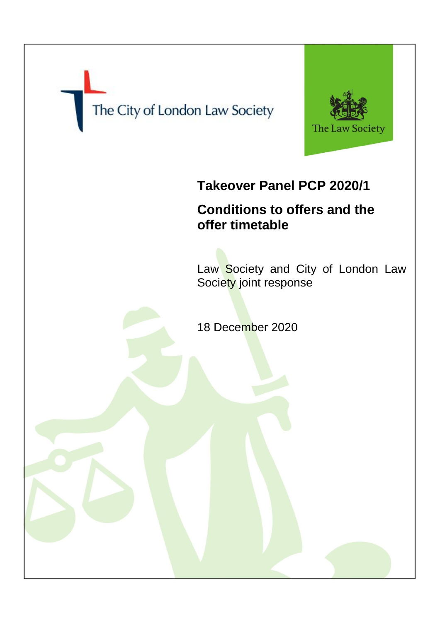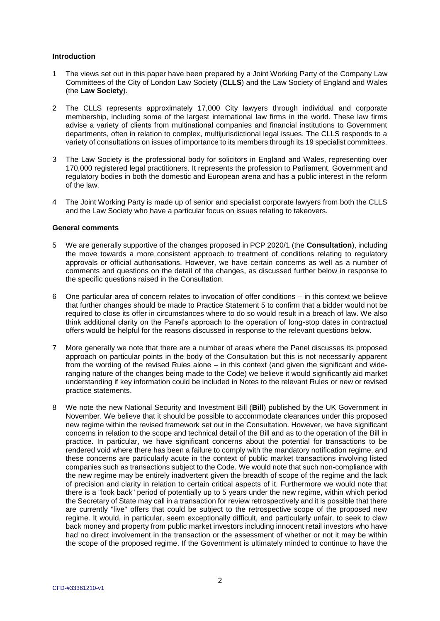## **Introduction**

- 1 The views set out in this paper have been prepared by a Joint Working Party of the Company Law Committees of the City of London Law Society (**CLLS**) and the Law Society of England and Wales (the **Law Society**).
- 2 The CLLS represents approximately 17,000 City lawyers through individual and corporate membership, including some of the largest international law firms in the world. These law firms advise a variety of clients from multinational companies and financial institutions to Government departments, often in relation to complex, multijurisdictional legal issues. The CLLS responds to a variety of consultations on issues of importance to its members through its 19 specialist committees.
- 3 The Law Society is the professional body for solicitors in England and Wales, representing over 170,000 registered legal practitioners. It represents the profession to Parliament, Government and regulatory bodies in both the domestic and European arena and has a public interest in the reform of the law.
- 4 The Joint Working Party is made up of senior and specialist corporate lawyers from both the CLLS and the Law Society who have a particular focus on issues relating to takeovers.

## **General comments**

- 5 We are generally supportive of the changes proposed in PCP 2020/1 (the **Consultation**), including the move towards a more consistent approach to treatment of conditions relating to regulatory approvals or official authorisations. However, we have certain concerns as well as a number of comments and questions on the detail of the changes, as discussed further below in response to the specific questions raised in the Consultation.
- 6 One particular area of concern relates to invocation of offer conditions in this context we believe that further changes should be made to Practice Statement 5 to confirm that a bidder would not be required to close its offer in circumstances where to do so would result in a breach of law. We also think additional clarity on the Panel's approach to the operation of long-stop dates in contractual offers would be helpful for the reasons discussed in response to the relevant questions below.
- 7 More generally we note that there are a number of areas where the Panel discusses its proposed approach on particular points in the body of the Consultation but this is not necessarily apparent from the wording of the revised Rules alone – in this context (and given the significant and wideranging nature of the changes being made to the Code) we believe it would significantly aid market understanding if key information could be included in Notes to the relevant Rules or new or revised practice statements.
- 8 We note the new National Security and Investment Bill (**Bill**) published by the UK Government in November. We believe that it should be possible to accommodate clearances under this proposed new regime within the revised framework set out in the Consultation. However, we have significant concerns in relation to the scope and technical detail of the Bill and as to the operation of the Bill in practice. In particular, we have significant concerns about the potential for transactions to be rendered void where there has been a failure to comply with the mandatory notification regime, and these concerns are particularly acute in the context of public market transactions involving listed companies such as transactions subject to the Code. We would note that such non-compliance with the new regime may be entirely inadvertent given the breadth of scope of the regime and the lack of precision and clarity in relation to certain critical aspects of it. Furthermore we would note that there is a "look back" period of potentially up to 5 years under the new regime, within which period the Secretary of State may call in a transaction for review retrospectively and it is possible that there are currently "live" offers that could be subject to the retrospective scope of the proposed new regime. It would, in particular, seem exceptionally difficult, and particularly unfair, to seek to claw back money and property from public market investors including innocent retail investors who have had no direct involvement in the transaction or the assessment of whether or not it may be within the scope of the proposed regime. If the Government is ultimately minded to continue to have the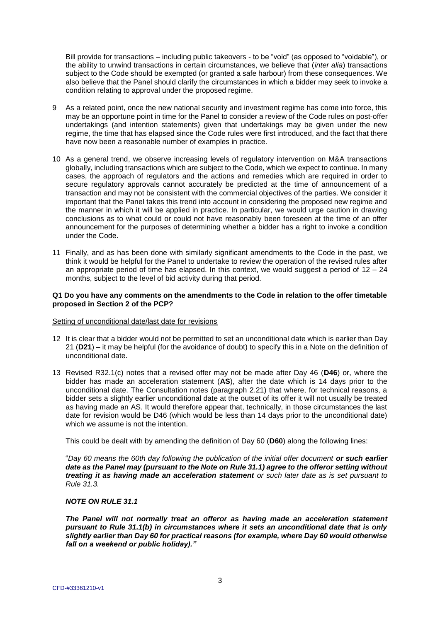Bill provide for transactions – including public takeovers - to be "void" (as opposed to "voidable"), or the ability to unwind transactions in certain circumstances, we believe that (*inter alia*) transactions subject to the Code should be exempted (or granted a safe harbour) from these consequences. We also believe that the Panel should clarify the circumstances in which a bidder may seek to invoke a condition relating to approval under the proposed regime.

- 9 As a related point, once the new national security and investment regime has come into force, this may be an opportune point in time for the Panel to consider a review of the Code rules on post-offer undertakings (and intention statements) given that undertakings may be given under the new regime, the time that has elapsed since the Code rules were first introduced, and the fact that there have now been a reasonable number of examples in practice.
- 10 As a general trend, we observe increasing levels of regulatory intervention on M&A transactions globally, including transactions which are subject to the Code, which we expect to continue. In many cases, the approach of regulators and the actions and remedies which are required in order to secure regulatory approvals cannot accurately be predicted at the time of announcement of a transaction and may not be consistent with the commercial objectives of the parties. We consider it important that the Panel takes this trend into account in considering the proposed new regime and the manner in which it will be applied in practice. In particular, we would urge caution in drawing conclusions as to what could or could not have reasonably been foreseen at the time of an offer announcement for the purposes of determining whether a bidder has a right to invoke a condition under the Code.
- 11 Finally, and as has been done with similarly significant amendments to the Code in the past, we think it would be helpful for the Panel to undertake to review the operation of the revised rules after an appropriate period of time has elapsed. In this context, we would suggest a period of 12 – 24 months, subject to the level of bid activity during that period.

#### **Q1 Do you have any comments on the amendments to the Code in relation to the offer timetable proposed in Section 2 of the PCP?**

## Setting of unconditional date/last date for revisions

- 12 It is clear that a bidder would not be permitted to set an unconditional date which is earlier than Day 21 (**D21**) – it may be helpful (for the avoidance of doubt) to specify this in a Note on the definition of unconditional date.
- 13 Revised R32.1(c) notes that a revised offer may not be made after Day 46 (**D46**) or, where the bidder has made an acceleration statement (**AS**), after the date which is 14 days prior to the unconditional date. The Consultation notes (paragraph 2.21) that where, for technical reasons, a bidder sets a slightly earlier unconditional date at the outset of its offer it will not usually be treated as having made an AS. It would therefore appear that, technically, in those circumstances the last date for revision would be D46 (which would be less than 14 days prior to the unconditional date) which we assume is not the intention.

This could be dealt with by amending the definition of Day 60 (**D60**) along the following lines:

"*Day 60 means the 60th day following the publication of the initial offer document or such earlier date as the Panel may (pursuant to the Note on Rule 31.1) agree to the offeror setting without treating it as having made an acceleration statement or such later date as is set pursuant to Rule 31.3.*

## *NOTE ON RULE 31.1*

*The Panel will not normally treat an offeror as having made an acceleration statement pursuant to Rule 31.1(b) in circumstances where it sets an unconditional date that is only slightly earlier than Day 60 for practical reasons (for example, where Day 60 would otherwise fall on a weekend or public holiday)."*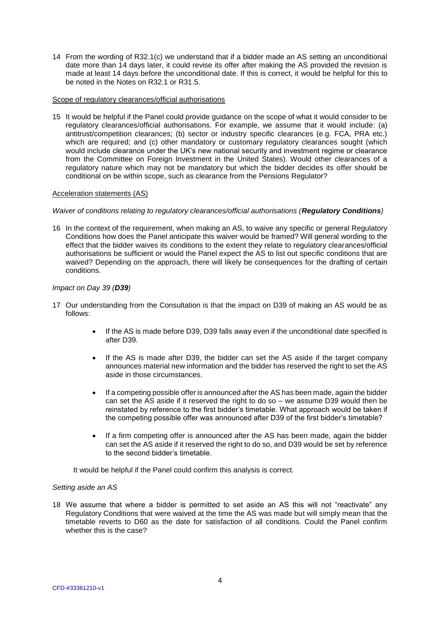14 From the wording of R32.1(c) we understand that if a bidder made an AS setting an unconditional date more than 14 days later, it could revise its offer after making the AS provided the revision is made at least 14 days before the unconditional date. If this is correct, it would be helpful for this to be noted in the Notes on R32.1 or R31.5.

## Scope of regulatory clearances/official authorisations

15 It would be helpful if the Panel could provide guidance on the scope of what it would consider to be regulatory clearances/official authorisations. For example, we assume that it would include: (a) antitrust/competition clearances; (b) sector or industry specific clearances (e.g. FCA, PRA etc.) which are required; and (c) other mandatory or customary regulatory clearances sought (which would include clearance under the UK's new national security and investment regime or clearance from the Committee on Foreign Investment in the United States). Would other clearances of a regulatory nature which may not be mandatory but which the bidder decides its offer should be conditional on be within scope, such as clearance from the Pensions Regulator?

# Acceleration statements (AS)

## *Waiver of conditions relating to regulatory clearances/official authorisations (Regulatory Conditions)*

16 In the context of the requirement, when making an AS, to waive any specific or general Regulatory Conditions how does the Panel anticipate this waiver would be framed? Will general wording to the effect that the bidder waives its conditions to the extent they relate to regulatory clearances/official authorisations be sufficient or would the Panel expect the AS to list out specific conditions that are waived? Depending on the approach, there will likely be consequences for the drafting of certain conditions.

## *Impact on Day 39 (D39)*

- 17 Our understanding from the Consultation is that the impact on D39 of making an AS would be as follows:
	- If the AS is made before D39, D39 falls away even if the unconditional date specified is after D39.
	- If the AS is made after D39, the bidder can set the AS aside if the target company announces material new information and the bidder has reserved the right to set the AS aside in those circumstances.
	- If a competing possible offer is announced after the AS has been made, again the bidder can set the AS aside if it reserved the right to do so – we assume D39 would then be reinstated by reference to the first bidder's timetable. What approach would be taken if the competing possible offer was announced after D39 of the first bidder's timetable?
	- If a firm competing offer is announced after the AS has been made, again the bidder can set the AS aside if it reserved the right to do so, and D39 would be set by reference to the second bidder's timetable.

It would be helpful if the Panel could confirm this analysis is correct.

## *Setting aside an AS*

18 We assume that where a bidder is permitted to set aside an AS this will not "reactivate" any Regulatory Conditions that were waived at the time the AS was made but will simply mean that the timetable reverts to D60 as the date for satisfaction of all conditions. Could the Panel confirm whether this is the case?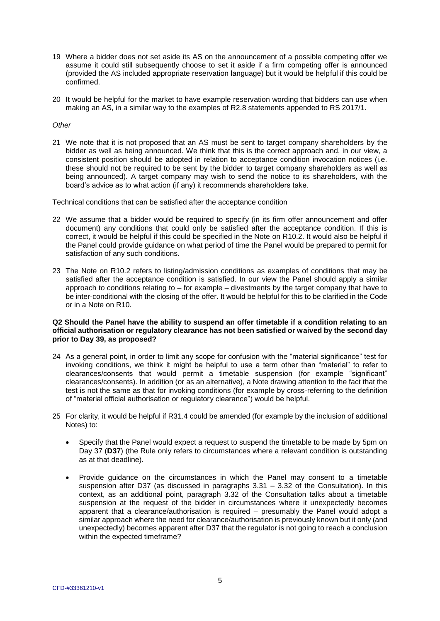- 19 Where a bidder does not set aside its AS on the announcement of a possible competing offer we assume it could still subsequently choose to set it aside if a firm competing offer is announced (provided the AS included appropriate reservation language) but it would be helpful if this could be confirmed.
- 20 It would be helpful for the market to have example reservation wording that bidders can use when making an AS, in a similar way to the examples of R2.8 statements appended to RS 2017/1.

## *Other*

21 We note that it is not proposed that an AS must be sent to target company shareholders by the bidder as well as being announced. We think that this is the correct approach and, in our view, a consistent position should be adopted in relation to acceptance condition invocation notices (i.e. these should not be required to be sent by the bidder to target company shareholders as well as being announced). A target company may wish to send the notice to its shareholders, with the board's advice as to what action (if any) it recommends shareholders take.

#### Technical conditions that can be satisfied after the acceptance condition

- 22 We assume that a bidder would be required to specify (in its firm offer announcement and offer document) any conditions that could only be satisfied after the acceptance condition. If this is correct, it would be helpful if this could be specified in the Note on R10.2. It would also be helpful if the Panel could provide guidance on what period of time the Panel would be prepared to permit for satisfaction of any such conditions.
- 23 The Note on R10.2 refers to listing/admission conditions as examples of conditions that may be satisfied after the acceptance condition is satisfied. In our view the Panel should apply a similar approach to conditions relating to – for example – divestments by the target company that have to be inter-conditional with the closing of the offer. It would be helpful for this to be clarified in the Code or in a Note on R10.

# **Q2 Should the Panel have the ability to suspend an offer timetable if a condition relating to an official authorisation or regulatory clearance has not been satisfied or waived by the second day prior to Day 39, as proposed?**

- 24 As a general point, in order to limit any scope for confusion with the "material significance" test for invoking conditions, we think it might be helpful to use a term other than "material" to refer to clearances/consents that would permit a timetable suspension (for example "significant" clearances/consents). In addition (or as an alternative), a Note drawing attention to the fact that the test is not the same as that for invoking conditions (for example by cross-referring to the definition of "material official authorisation or regulatory clearance") would be helpful.
- 25 For clarity, it would be helpful if R31.4 could be amended (for example by the inclusion of additional Notes) to:
	- Specify that the Panel would expect a request to suspend the timetable to be made by 5pm on Day 37 (**D37**) (the Rule only refers to circumstances where a relevant condition is outstanding as at that deadline).
	- Provide guidance on the circumstances in which the Panel may consent to a timetable suspension after D37 (as discussed in paragraphs 3.31 – 3.32 of the Consultation). In this context, as an additional point, paragraph 3.32 of the Consultation talks about a timetable suspension at the request of the bidder in circumstances where it unexpectedly becomes apparent that a clearance/authorisation is required – presumably the Panel would adopt a similar approach where the need for clearance/authorisation is previously known but it only (and unexpectedly) becomes apparent after D37 that the regulator is not going to reach a conclusion within the expected timeframe?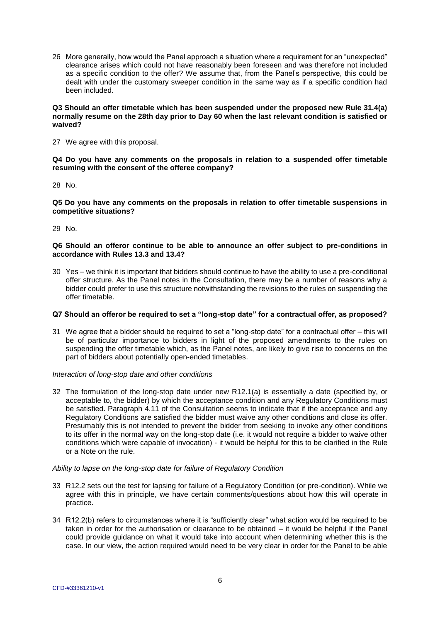26 More generally, how would the Panel approach a situation where a requirement for an "unexpected" clearance arises which could not have reasonably been foreseen and was therefore not included as a specific condition to the offer? We assume that, from the Panel's perspective, this could be dealt with under the customary sweeper condition in the same way as if a specific condition had been included.

#### **Q3 Should an offer timetable which has been suspended under the proposed new Rule 31.4(a) normally resume on the 28th day prior to Day 60 when the last relevant condition is satisfied or waived?**

27 We agree with this proposal.

**Q4 Do you have any comments on the proposals in relation to a suspended offer timetable resuming with the consent of the offeree company?**

28 No.

**Q5 Do you have any comments on the proposals in relation to offer timetable suspensions in competitive situations?**

29 No.

### **Q6 Should an offeror continue to be able to announce an offer subject to pre-conditions in accordance with Rules 13.3 and 13.4?**

30 Yes – we think it is important that bidders should continue to have the ability to use a pre-conditional offer structure. As the Panel notes in the Consultation, there may be a number of reasons why a bidder could prefer to use this structure notwithstanding the revisions to the rules on suspending the offer timetable.

## **Q7 Should an offeror be required to set a "long-stop date" for a contractual offer, as proposed?**

31 We agree that a bidder should be required to set a "long-stop date" for a contractual offer – this will be of particular importance to bidders in light of the proposed amendments to the rules on suspending the offer timetable which, as the Panel notes, are likely to give rise to concerns on the part of bidders about potentially open-ended timetables.

## *Interaction of long-stop date and other conditions*

32 The formulation of the long-stop date under new R12.1(a) is essentially a date (specified by, or acceptable to, the bidder) by which the acceptance condition and any Regulatory Conditions must be satisfied. Paragraph 4.11 of the Consultation seems to indicate that if the acceptance and any Regulatory Conditions are satisfied the bidder must waive any other conditions and close its offer. Presumably this is not intended to prevent the bidder from seeking to invoke any other conditions to its offer in the normal way on the long-stop date (i.e. it would not require a bidder to waive other conditions which were capable of invocation) - it would be helpful for this to be clarified in the Rule or a Note on the rule.

#### *Ability to lapse on the long-stop date for failure of Regulatory Condition*

- 33 R12.2 sets out the test for lapsing for failure of a Regulatory Condition (or pre-condition). While we agree with this in principle, we have certain comments/questions about how this will operate in practice.
- 34 R12.2(b) refers to circumstances where it is "sufficiently clear" what action would be required to be taken in order for the authorisation or clearance to be obtained – it would be helpful if the Panel could provide guidance on what it would take into account when determining whether this is the case. In our view, the action required would need to be very clear in order for the Panel to be able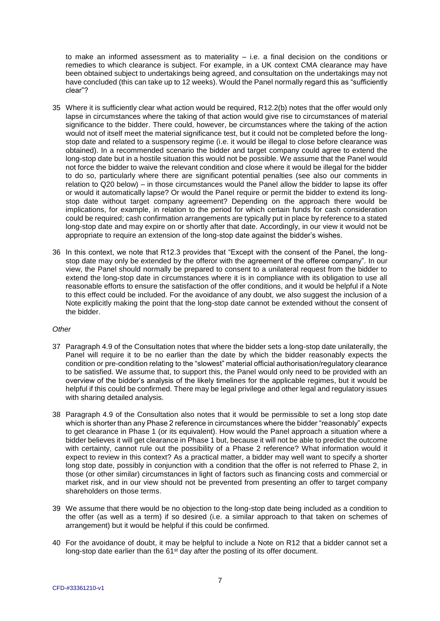to make an informed assessment as to materiality  $-$  i.e. a final decision on the conditions or remedies to which clearance is subject. For example, in a UK context CMA clearance may have been obtained subject to undertakings being agreed, and consultation on the undertakings may not have concluded (this can take up to 12 weeks). Would the Panel normally regard this as "sufficiently clear"?

- 35 Where it is sufficiently clear what action would be required, R12.2(b) notes that the offer would only lapse in circumstances where the taking of that action would give rise to circumstances of material significance to the bidder. There could, however, be circumstances where the taking of the action would not of itself meet the material significance test, but it could not be completed before the longstop date and related to a suspensory regime (i.e. it would be illegal to close before clearance was obtained). In a recommended scenario the bidder and target company could agree to extend the long-stop date but in a hostile situation this would not be possible. We assume that the Panel would not force the bidder to waive the relevant condition and close where it would be illegal for the bidder to do so, particularly where there are significant potential penalties (see also our comments in relation to Q20 below) – in those circumstances would the Panel allow the bidder to lapse its offer or would it automatically lapse? Or would the Panel require or permit the bidder to extend its longstop date without target company agreement? Depending on the approach there would be implications, for example, in relation to the period for which certain funds for cash consideration could be required; cash confirmation arrangements are typically put in place by reference to a stated long-stop date and may expire on or shortly after that date. Accordingly, in our view it would not be appropriate to require an extension of the long-stop date against the bidder's wishes.
- 36 In this context, we note that R12.3 provides that "Except with the consent of the Panel, the longstop date may only be extended by the offeror with the agreement of the offeree company". In our view, the Panel should normally be prepared to consent to a unilateral request from the bidder to extend the long-stop date in circumstances where it is in compliance with its obligation to use all reasonable efforts to ensure the satisfaction of the offer conditions, and it would be helpful if a Note to this effect could be included. For the avoidance of any doubt, we also suggest the inclusion of a Note explicitly making the point that the long-stop date cannot be extended without the consent of the bidder.

## *Other*

- 37 Paragraph 4.9 of the Consultation notes that where the bidder sets a long-stop date unilaterally, the Panel will require it to be no earlier than the date by which the bidder reasonably expects the condition or pre-condition relating to the "slowest" material official authorisation/regulatory clearance to be satisfied. We assume that, to support this, the Panel would only need to be provided with an overview of the bidder's analysis of the likely timelines for the applicable regimes, but it would be helpful if this could be confirmed. There may be legal privilege and other legal and regulatory issues with sharing detailed analysis.
- 38 Paragraph 4.9 of the Consultation also notes that it would be permissible to set a long stop date which is shorter than any Phase 2 reference in circumstances where the bidder "reasonably" expects to get clearance in Phase 1 (or its equivalent). How would the Panel approach a situation where a bidder believes it will get clearance in Phase 1 but, because it will not be able to predict the outcome with certainty, cannot rule out the possibility of a Phase 2 reference? What information would it expect to review in this context? As a practical matter, a bidder may well want to specify a shorter long stop date, possibly in conjunction with a condition that the offer is not referred to Phase 2, in those (or other similar) circumstances in light of factors such as financing costs and commercial or market risk, and in our view should not be prevented from presenting an offer to target company shareholders on those terms.
- 39 We assume that there would be no objection to the long-stop date being included as a condition to the offer (as well as a term) if so desired (i.e. a similar approach to that taken on schemes of arrangement) but it would be helpful if this could be confirmed.
- 40 For the avoidance of doubt, it may be helpful to include a Note on R12 that a bidder cannot set a long-stop date earlier than the 61<sup>st</sup> day after the posting of its offer document.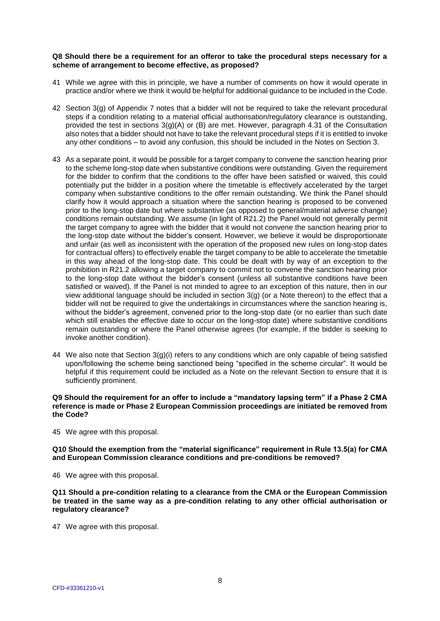#### **Q8 Should there be a requirement for an offeror to take the procedural steps necessary for a scheme of arrangement to become effective, as proposed?**

- 41 While we agree with this in principle, we have a number of comments on how it would operate in practice and/or where we think it would be helpful for additional guidance to be included in the Code.
- 42 Section 3(g) of Appendix 7 notes that a bidder will not be required to take the relevant procedural steps if a condition relating to a material official authorisation/regulatory clearance is outstanding, provided the test in sections 3(g)(A) or (B) are met. However, paragraph 4.31 of the Consultation also notes that a bidder should not have to take the relevant procedural steps if it is entitled to invoke any other conditions – to avoid any confusion, this should be included in the Notes on Section 3.
- 43 As a separate point, it would be possible for a target company to convene the sanction hearing prior to the scheme long-stop date when substantive conditions were outstanding. Given the requirement for the bidder to confirm that the conditions to the offer have been satisfied or waived, this could potentially put the bidder in a position where the timetable is effectively accelerated by the target company when substantive conditions to the offer remain outstanding. We think the Panel should clarify how it would approach a situation where the sanction hearing is proposed to be convened prior to the long-stop date but where substantive (as opposed to general/material adverse change) conditions remain outstanding. We assume (in light of R21.2) the Panel would not generally permit the target company to agree with the bidder that it would not convene the sanction hearing prior to the long-stop date without the bidder's consent. However, we believe it would be disproportionate and unfair (as well as inconsistent with the operation of the proposed new rules on long-stop dates for contractual offers) to effectively enable the target company to be able to accelerate the timetable in this way ahead of the long-stop date. This could be dealt with by way of an exception to the prohibition in R21.2 allowing a target company to commit not to convene the sanction hearing prior to the long-stop date without the bidder's consent (unless all substantive conditions have been satisfied or waived). If the Panel is not minded to agree to an exception of this nature, then in our view additional language should be included in section 3(g) (or a Note thereon) to the effect that a bidder will not be required to give the undertakings in circumstances where the sanction hearing is, without the bidder's agreement, convened prior to the long-stop date (or no earlier than such date which still enables the effective date to occur on the long-stop date) where substantive conditions remain outstanding or where the Panel otherwise agrees (for example, if the bidder is seeking to invoke another condition).
- 44 We also note that Section 3(g)(i) refers to any conditions which are only capable of being satisfied upon/following the scheme being sanctioned being "specified in the scheme circular". It would be helpful if this requirement could be included as a Note on the relevant Section to ensure that it is sufficiently prominent.

## **Q9 Should the requirement for an offer to include a "mandatory lapsing term" if a Phase 2 CMA reference is made or Phase 2 European Commission proceedings are initiated be removed from the Code?**

45 We agree with this proposal.

**Q10 Should the exemption from the "material significance" requirement in Rule 13.5(a) for CMA and European Commission clearance conditions and pre-conditions be removed?**

46 We agree with this proposal.

**Q11 Should a pre-condition relating to a clearance from the CMA or the European Commission be treated in the same way as a pre-condition relating to any other official authorisation or regulatory clearance?** 

47 We agree with this proposal.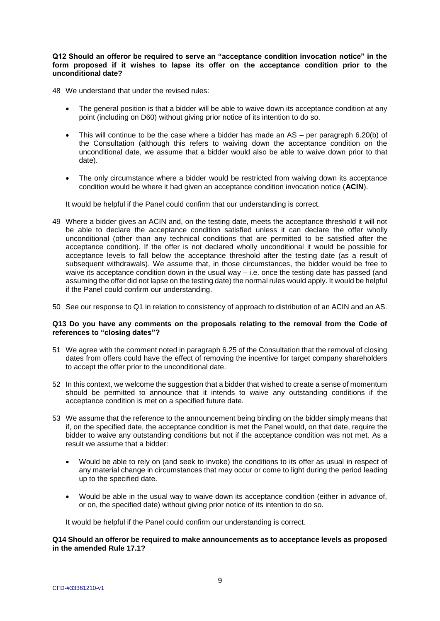## **Q12 Should an offeror be required to serve an "acceptance condition invocation notice" in the form proposed if it wishes to lapse its offer on the acceptance condition prior to the unconditional date?**

48 We understand that under the revised rules:

- The general position is that a bidder will be able to waive down its acceptance condition at any point (including on D60) without giving prior notice of its intention to do so.
- This will continue to be the case where a bidder has made an AS per paragraph 6.20(b) of the Consultation (although this refers to waiving down the acceptance condition on the unconditional date, we assume that a bidder would also be able to waive down prior to that date).
- The only circumstance where a bidder would be restricted from waiving down its acceptance condition would be where it had given an acceptance condition invocation notice (**ACIN**).

It would be helpful if the Panel could confirm that our understanding is correct.

- 49 Where a bidder gives an ACIN and, on the testing date, meets the acceptance threshold it will not be able to declare the acceptance condition satisfied unless it can declare the offer wholly unconditional (other than any technical conditions that are permitted to be satisfied after the acceptance condition). If the offer is not declared wholly unconditional it would be possible for acceptance levels to fall below the acceptance threshold after the testing date (as a result of subsequent withdrawals). We assume that, in those circumstances, the bidder would be free to waive its acceptance condition down in the usual way – i.e. once the testing date has passed (and assuming the offer did not lapse on the testing date) the normal rules would apply. It would be helpful if the Panel could confirm our understanding.
- 50 See our response to Q1 in relation to consistency of approach to distribution of an ACIN and an AS.

## **Q13 Do you have any comments on the proposals relating to the removal from the Code of references to "closing dates"?**

- 51 We agree with the comment noted in paragraph 6.25 of the Consultation that the removal of closing dates from offers could have the effect of removing the incentive for target company shareholders to accept the offer prior to the unconditional date.
- 52 In this context, we welcome the suggestion that a bidder that wished to create a sense of momentum should be permitted to announce that it intends to waive any outstanding conditions if the acceptance condition is met on a specified future date.
- 53 We assume that the reference to the announcement being binding on the bidder simply means that if, on the specified date, the acceptance condition is met the Panel would, on that date, require the bidder to waive any outstanding conditions but not if the acceptance condition was not met. As a result we assume that a bidder:
	- Would be able to rely on (and seek to invoke) the conditions to its offer as usual in respect of any material change in circumstances that may occur or come to light during the period leading up to the specified date.
	- Would be able in the usual way to waive down its acceptance condition (either in advance of, or on, the specified date) without giving prior notice of its intention to do so.

It would be helpful if the Panel could confirm our understanding is correct.

**Q14 Should an offeror be required to make announcements as to acceptance levels as proposed in the amended Rule 17.1?**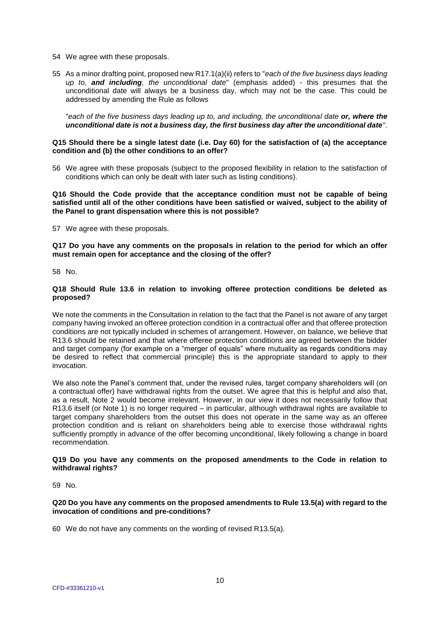- 54 We agree with these proposals.
- 55 As a minor drafting point, proposed new R17.1(a)(ii) refers to "*each of the five business days leading up to, and including, the unconditional date*" (emphasis added) - this presumes that the unconditional date will always be a business day, which may not be the case. This could be addressed by amending the Rule as follows

"*each of the five business days leading up to, and including, the unconditional date or, where the unconditional date is not a business day, the first business day after the unconditional date*".

#### **Q15 Should there be a single latest date (i.e. Day 60) for the satisfaction of (a) the acceptance condition and (b) the other conditions to an offer?**

56 We agree with these proposals (subject to the proposed flexibility in relation to the satisfaction of conditions which can only be dealt with later such as listing conditions).

**Q16 Should the Code provide that the acceptance condition must not be capable of being satisfied until all of the other conditions have been satisfied or waived, subject to the ability of the Panel to grant dispensation where this is not possible?**

57 We agree with these proposals.

**Q17 Do you have any comments on the proposals in relation to the period for which an offer must remain open for acceptance and the closing of the offer?**

58 No.

## **Q18 Should Rule 13.6 in relation to invoking offeree protection conditions be deleted as proposed?**

We note the comments in the Consultation in relation to the fact that the Panel is not aware of any target company having invoked an offeree protection condition in a contractual offer and that offeree protection conditions are not typically included in schemes of arrangement. However, on balance, we believe that R13.6 should be retained and that where offeree protection conditions are agreed between the bidder and target company (for example on a "merger of equals" where mutuality as regards conditions may be desired to reflect that commercial principle) this is the appropriate standard to apply to their invocation.

We also note the Panel's comment that, under the revised rules, target company shareholders will (on a contractual offer) have withdrawal rights from the outset. We agree that this is helpful and also that, as a result, Note 2 would become irrelevant. However, in our view it does not necessarily follow that R13.6 itself (or Note 1) is no longer required – in particular, although withdrawal rights are available to target company shareholders from the outset this does not operate in the same way as an offeree protection condition and is reliant on shareholders being able to exercise those withdrawal rights sufficiently promptly in advance of the offer becoming unconditional, likely following a change in board recommendation.

## **Q19 Do you have any comments on the proposed amendments to the Code in relation to withdrawal rights?**

59 No.

## **Q20 Do you have any comments on the proposed amendments to Rule 13.5(a) with regard to the invocation of conditions and pre-conditions?**

60 We do not have any comments on the wording of revised R13.5(a).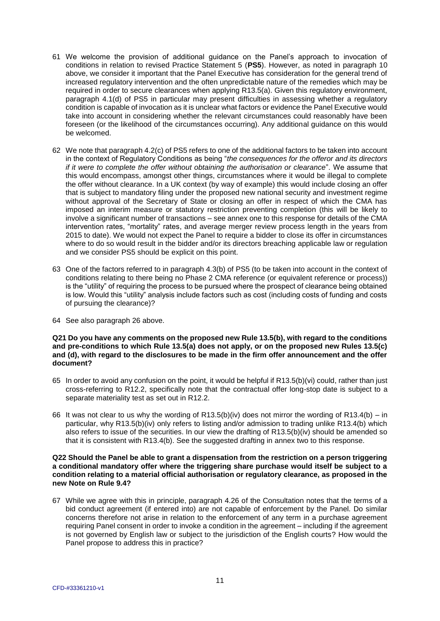- 61 We welcome the provision of additional guidance on the Panel's approach to invocation of conditions in relation to revised Practice Statement 5 (**PS5**). However, as noted in paragraph 10 above, we consider it important that the Panel Executive has consideration for the general trend of increased regulatory intervention and the often unpredictable nature of the remedies which may be required in order to secure clearances when applying R13.5(a). Given this regulatory environment, paragraph 4.1(d) of PS5 in particular may present difficulties in assessing whether a regulatory condition is capable of invocation as it is unclear what factors or evidence the Panel Executive would take into account in considering whether the relevant circumstances could reasonably have been foreseen (or the likelihood of the circumstances occurring). Any additional guidance on this would be welcomed.
- 62 We note that paragraph 4.2(c) of PS5 refers to one of the additional factors to be taken into account in the context of Regulatory Conditions as being "*the consequences for the offeror and its directors if it were to complete the offer without obtaining the authorisation or clearance*". We assume that this would encompass, amongst other things, circumstances where it would be illegal to complete the offer without clearance. In a UK context (by way of example) this would include closing an offer that is subject to mandatory filing under the proposed new national security and investment regime without approval of the Secretary of State or closing an offer in respect of which the CMA has imposed an interim measure or statutory restriction preventing completion (this will be likely to involve a significant number of transactions – see annex one to this response for details of the CMA intervention rates, "mortality" rates, and average merger review process length in the years from 2015 to date). We would not expect the Panel to require a bidder to close its offer in circumstances where to do so would result in the bidder and/or its directors breaching applicable law or regulation and we consider PS5 should be explicit on this point.
- 63 One of the factors referred to in paragraph 4.3(b) of PS5 (to be taken into account in the context of conditions relating to there being no Phase 2 CMA reference (or equivalent reference or process)) is the "utility" of requiring the process to be pursued where the prospect of clearance being obtained is low. Would this "utility" analysis include factors such as cost (including costs of funding and costs of pursuing the clearance)?
- 64 See also paragraph 26 above.

**Q21 Do you have any comments on the proposed new Rule 13.5(b), with regard to the conditions and pre-conditions to which Rule 13.5(a) does not apply, or on the proposed new Rules 13.5(c) and (d), with regard to the disclosures to be made in the firm offer announcement and the offer document?**

- 65 In order to avoid any confusion on the point, it would be helpful if R13.5(b)(vi) could, rather than just cross-referring to R12.2, specifically note that the contractual offer long-stop date is subject to a separate materiality test as set out in R12.2.
- 66 It was not clear to us why the wording of R13.5(b)(iv) does not mirror the wording of R13.4(b) in particular, why R13.5(b)(iv) only refers to listing and/or admission to trading unlike R13.4(b) which also refers to issue of the securities. In our view the drafting of R13.5(b)(iv) should be amended so that it is consistent with R13.4(b). See the suggested drafting in annex two to this response.

## **Q22 Should the Panel be able to grant a dispensation from the restriction on a person triggering a conditional mandatory offer where the triggering share purchase would itself be subject to a condition relating to a material official authorisation or regulatory clearance, as proposed in the new Note on Rule 9.4?**

67 While we agree with this in principle, paragraph 4.26 of the Consultation notes that the terms of a bid conduct agreement (if entered into) are not capable of enforcement by the Panel. Do similar concerns therefore not arise in relation to the enforcement of any term in a purchase agreement requiring Panel consent in order to invoke a condition in the agreement – including if the agreement is not governed by English law or subject to the jurisdiction of the English courts? How would the Panel propose to address this in practice?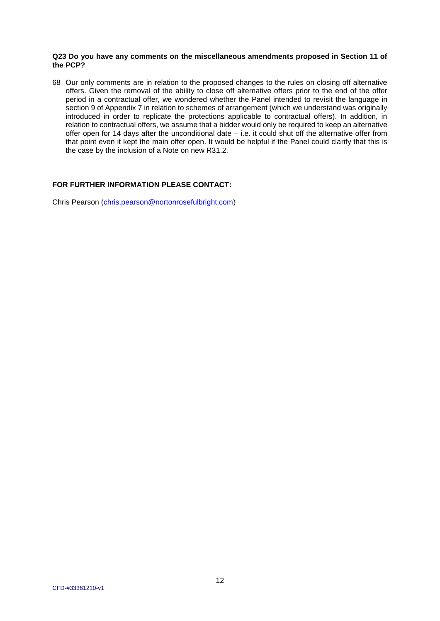#### **Q23 Do you have any comments on the miscellaneous amendments proposed in Section 11 of the PCP?**

68 Our only comments are in relation to the proposed changes to the rules on closing off alternative offers. Given the removal of the ability to close off alternative offers prior to the end of the offer period in a contractual offer, we wondered whether the Panel intended to revisit the language in section 9 of Appendix 7 in relation to schemes of arrangement (which we understand was originally introduced in order to replicate the protections applicable to contractual offers). In addition, in relation to contractual offers, we assume that a bidder would only be required to keep an alternative offer open for 14 days after the unconditional date – i.e. it could shut off the alternative offer from that point even it kept the main offer open. It would be helpful if the Panel could clarify that this is the case by the inclusion of a Note on new R31.2.

# **FOR FURTHER INFORMATION PLEASE CONTACT:**

Chris Pearson (chris.pearson@nortonrosefulbright.com)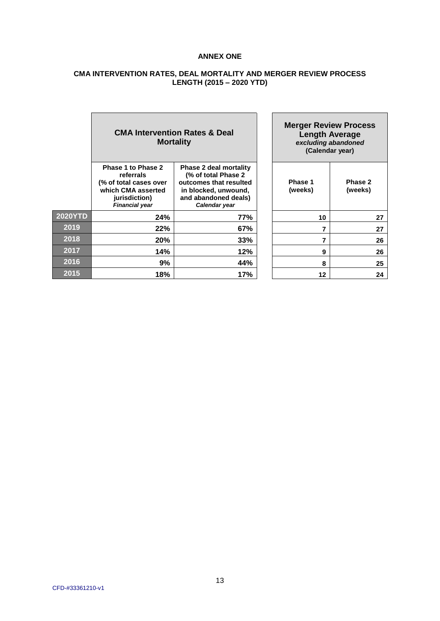# **ANNEX ONE**

# **CMA INTERVENTION RATES, DEAL MORTALITY AND MERGER REVIEW PROCESS LENGTH (2015 – 2020 YTD)**

|                | <b>CMA Intervention Rates &amp; Deal</b><br><b>Mortality</b>                                                              |                                                                                                                                                  | <b>Merger Review Process</b><br><b>Length Average</b><br>excluding abandoned<br>(Calendar year) |                    |
|----------------|---------------------------------------------------------------------------------------------------------------------------|--------------------------------------------------------------------------------------------------------------------------------------------------|-------------------------------------------------------------------------------------------------|--------------------|
|                | Phase 1 to Phase 2<br>referrals<br>(% of total cases over<br>which CMA asserted<br>jurisdiction)<br><b>Financial year</b> | <b>Phase 2 deal mortality</b><br>(% of total Phase 2)<br>outcomes that resulted<br>in blocked, unwound,<br>and abandoned deals)<br>Calendar year | Phase 1<br>(weeks)                                                                              | Phase 2<br>(weeks) |
| <b>2020YTD</b> | 24%                                                                                                                       | 77%                                                                                                                                              | 10                                                                                              | 27                 |
| 2019           | 22%                                                                                                                       | 67%                                                                                                                                              |                                                                                                 | 27                 |
| 2018           | <b>20%</b>                                                                                                                | 33%                                                                                                                                              | 7                                                                                               | 26                 |
| 2017           | 14%                                                                                                                       | 12%                                                                                                                                              | 9                                                                                               | 26                 |
| 2016           | 9%                                                                                                                        | 44%                                                                                                                                              | 8                                                                                               | 25                 |
| 2015           | 18%                                                                                                                       | 17%                                                                                                                                              | 12                                                                                              | 24                 |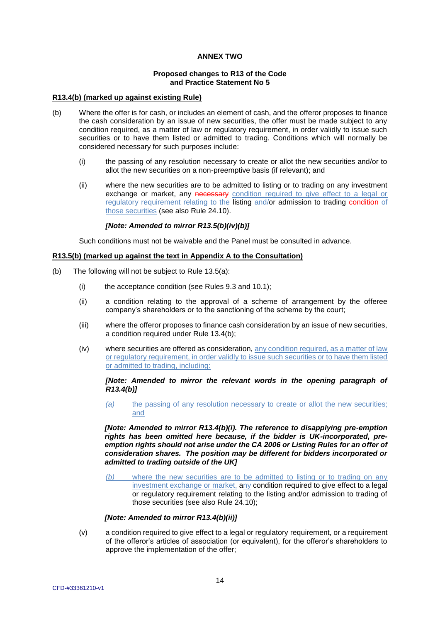# **ANNEX TWO**

## **Proposed changes to R13 of the Code and Practice Statement No 5**

## **R13.4(b) (marked up against existing Rule)**

- (b) Where the offer is for cash, or includes an element of cash, and the offeror proposes to finance the cash consideration by an issue of new securities, the offer must be made subject to any condition required, as a matter of law or regulatory requirement, in order validly to issue such securities or to have them listed or admitted to trading. Conditions which will normally be considered necessary for such purposes include:
	- (i) the passing of any resolution necessary to create or allot the new securities and/or to allot the new securities on a non-preemptive basis (if relevant); and
	- (ii) where the new securities are to be admitted to listing or to trading on any investment exchange or market, any necessary condition required to give effect to a legal or regulatory requirement relating to the listing and/or admission to trading condition of those securities (see also Rule 24.10).

# *[Note: Amended to mirror R13.5(b)(iv)(b)]*

Such conditions must not be waivable and the Panel must be consulted in advance.

## **R13.5(b) (marked up against the text in Appendix A to the Consultation)**

- (b) The following will not be subject to Rule 13.5(a):
	- (i) the acceptance condition (see Rules 9.3 and 10.1);
	- (ii) a condition relating to the approval of a scheme of arrangement by the offeree company's shareholders or to the sanctioning of the scheme by the court;
	- (iii) where the offeror proposes to finance cash consideration by an issue of new securities, a condition required under Rule 13.4(b);
	- (iv) where securities are offered as consideration, any condition required, as a matter of law or regulatory requirement, in order validly to issue such securities or to have them listed or admitted to trading, including:

## *[Note: Amended to mirror the relevant words in the opening paragraph of R13.4(b)]*

*(a)* the passing of any resolution necessary to create or allot the new securities; and

*[Note: Amended to mirror R13.4(b)(i). The reference to disapplying pre-emption rights has been omitted here because, if the bidder is UK-incorporated, preemption rights should not arise under the CA 2006 or Listing Rules for an offer of consideration shares. The position may be different for bidders incorporated or admitted to trading outside of the UK]*

*(b)* where the new securities are to be admitted to listing or to trading on any investment exchange or market, any condition required to give effect to a legal or regulatory requirement relating to the listing and/or admission to trading of those securities (see also Rule 24.10);

## *[Note: Amended to mirror R13.4(b)(ii)]*

(v) a condition required to give effect to a legal or regulatory requirement, or a requirement of the offeror's articles of association (or equivalent), for the offeror's shareholders to approve the implementation of the offer;